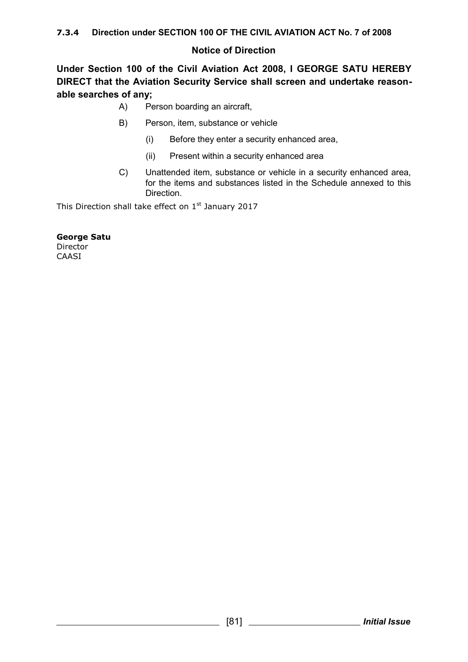## **Notice of Direction**

**Under Section 100 of the Civil Aviation Act 2008, I GEORGE SATU HEREBY DIRECT that the Aviation Security Service shall screen and undertake reasonable searches of any;**

- A) Person boarding an aircraft,
- B) Person, item, substance or vehicle
	- (i) Before they enter a security enhanced area,
	- (ii) Present within a security enhanced area
- C) Unattended item, substance or vehicle in a security enhanced area, for the items and substances listed in the Schedule annexed to this Direction.

This Direction shall take effect on  $1<sup>st</sup>$  January 2017

**George Satu** Director **CAASI**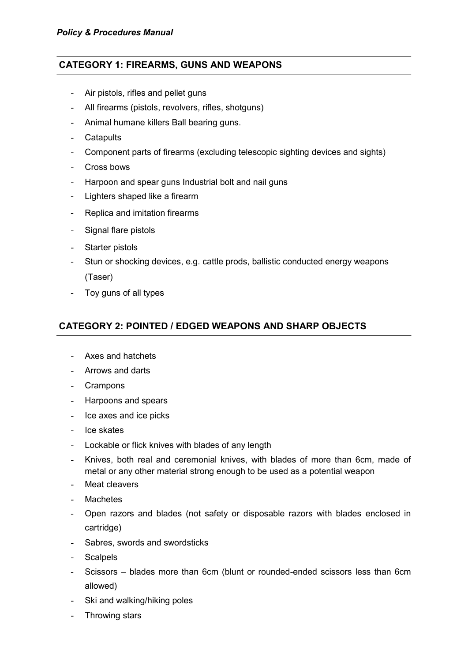### **CATEGORY 1: FIREARMS, GUNS AND WEAPONS**

- Air pistols, rifles and pellet guns
- All firearms (pistols, revolvers, rifles, shotguns)
- Animal humane killers Ball bearing guns.
- Catapults
- Component parts of firearms (excluding telescopic sighting devices and sights)
- Cross bows
- Harpoon and spear guns Industrial bolt and nail guns
- Lighters shaped like a firearm
- Replica and imitation firearms
- Signal flare pistols
- Starter pistols
- Stun or shocking devices, e.g. cattle prods, ballistic conducted energy weapons (Taser)
- Toy guns of all types

## **CATEGORY 2: POINTED / EDGED WEAPONS AND SHARP OBJECTS**

- Axes and hatchets
- Arrows and darts
- Crampons
- Harpoons and spears
- Ice axes and ice picks
- Ice skates
- Lockable or flick knives with blades of any length
- Knives, both real and ceremonial knives, with blades of more than 6cm, made of metal or any other material strong enough to be used as a potential weapon
- Meat cleavers
- **Machetes**
- Open razors and blades (not safety or disposable razors with blades enclosed in cartridge)
- Sabres, swords and swordsticks
- Scalpels
- Scissors blades more than 6cm (blunt or rounded-ended scissors less than 6cm allowed)
- Ski and walking/hiking poles
- Throwing stars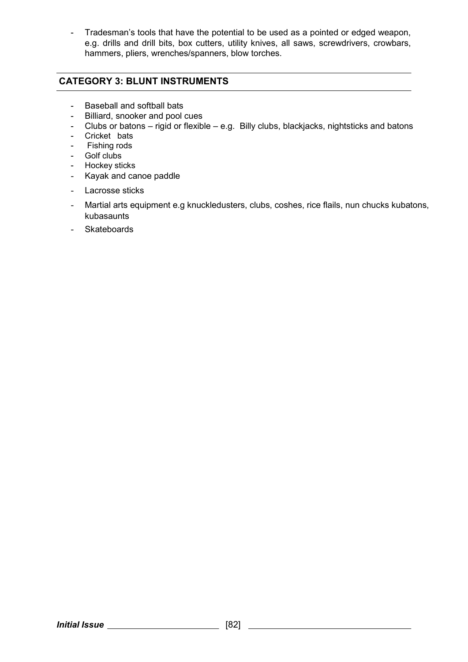- Tradesman's tools that have the potential to be used as a pointed or edged weapon, e.g. drills and drill bits, box cutters, utility knives, all saws, screwdrivers, crowbars, hammers, pliers, wrenches/spanners, blow torches.

## **CATEGORY 3: BLUNT INSTRUMENTS**

- Baseball and softball bats
- Billiard, snooker and pool cues
- Clubs or batons rigid or flexible e.g. Billy clubs, blackjacks, nightsticks and batons
- Cricket bats
- Fishing rods
- Golf clubs
- Hockey sticks
- Kayak and canoe paddle
- Lacrosse sticks
- Martial arts equipment e.g knuckledusters, clubs, coshes, rice flails, nun chucks kubatons, kubasaunts
- Skateboards